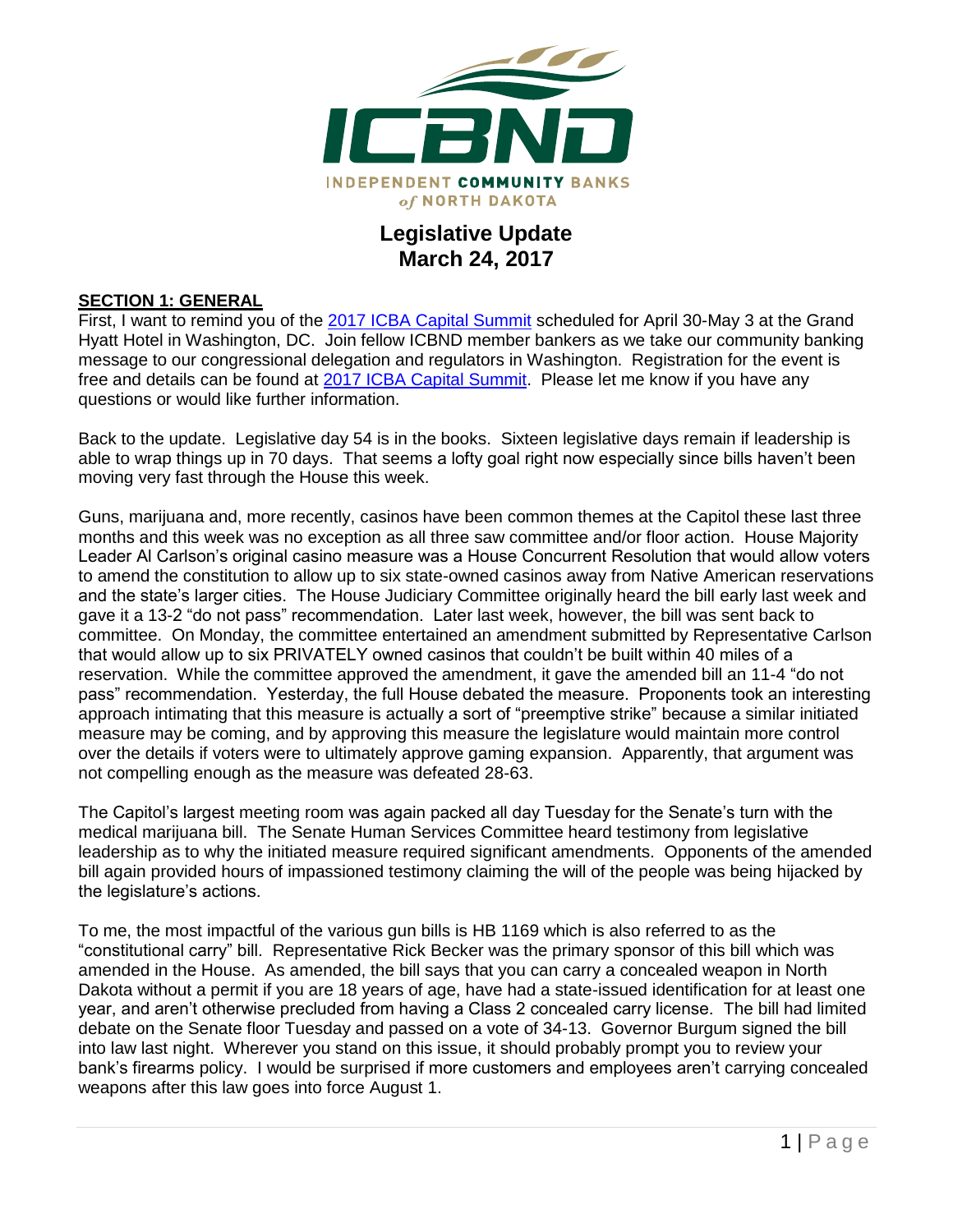

## **Legislative Update March 24, 2017**

#### **SECTION 1: GENERAL**

First, I want to remind you of the [2017 ICBA Capital Summit](http://www.icba.org/advocacy/icba-capital-summit) scheduled for April 30-May 3 at the Grand Hyatt Hotel in Washington, DC. Join fellow ICBND member bankers as we take our community banking message to our congressional delegation and regulators in Washington. Registration for the event is free and details can be found at [2017 ICBA Capital Summit.](http://www.icba.org/advocacy/icba-capital-summit) Please let me know if you have any questions or would like further information.

Back to the update. Legislative day 54 is in the books. Sixteen legislative days remain if leadership is able to wrap things up in 70 days. That seems a lofty goal right now especially since bills haven't been moving very fast through the House this week.

Guns, marijuana and, more recently, casinos have been common themes at the Capitol these last three months and this week was no exception as all three saw committee and/or floor action. House Majority Leader Al Carlson's original casino measure was a House Concurrent Resolution that would allow voters to amend the constitution to allow up to six state-owned casinos away from Native American reservations and the state's larger cities. The House Judiciary Committee originally heard the bill early last week and gave it a 13-2 "do not pass" recommendation. Later last week, however, the bill was sent back to committee. On Monday, the committee entertained an amendment submitted by Representative Carlson that would allow up to six PRIVATELY owned casinos that couldn't be built within 40 miles of a reservation. While the committee approved the amendment, it gave the amended bill an 11-4 "do not pass" recommendation. Yesterday, the full House debated the measure. Proponents took an interesting approach intimating that this measure is actually a sort of "preemptive strike" because a similar initiated measure may be coming, and by approving this measure the legislature would maintain more control over the details if voters were to ultimately approve gaming expansion. Apparently, that argument was not compelling enough as the measure was defeated 28-63.

The Capitol's largest meeting room was again packed all day Tuesday for the Senate's turn with the medical marijuana bill. The Senate Human Services Committee heard testimony from legislative leadership as to why the initiated measure required significant amendments. Opponents of the amended bill again provided hours of impassioned testimony claiming the will of the people was being hijacked by the legislature's actions.

To me, the most impactful of the various gun bills is HB 1169 which is also referred to as the "constitutional carry" bill. Representative Rick Becker was the primary sponsor of this bill which was amended in the House. As amended, the bill says that you can carry a concealed weapon in North Dakota without a permit if you are 18 years of age, have had a state-issued identification for at least one year, and aren't otherwise precluded from having a Class 2 concealed carry license. The bill had limited debate on the Senate floor Tuesday and passed on a vote of 34-13. Governor Burgum signed the bill into law last night. Wherever you stand on this issue, it should probably prompt you to review your bank's firearms policy. I would be surprised if more customers and employees aren't carrying concealed weapons after this law goes into force August 1.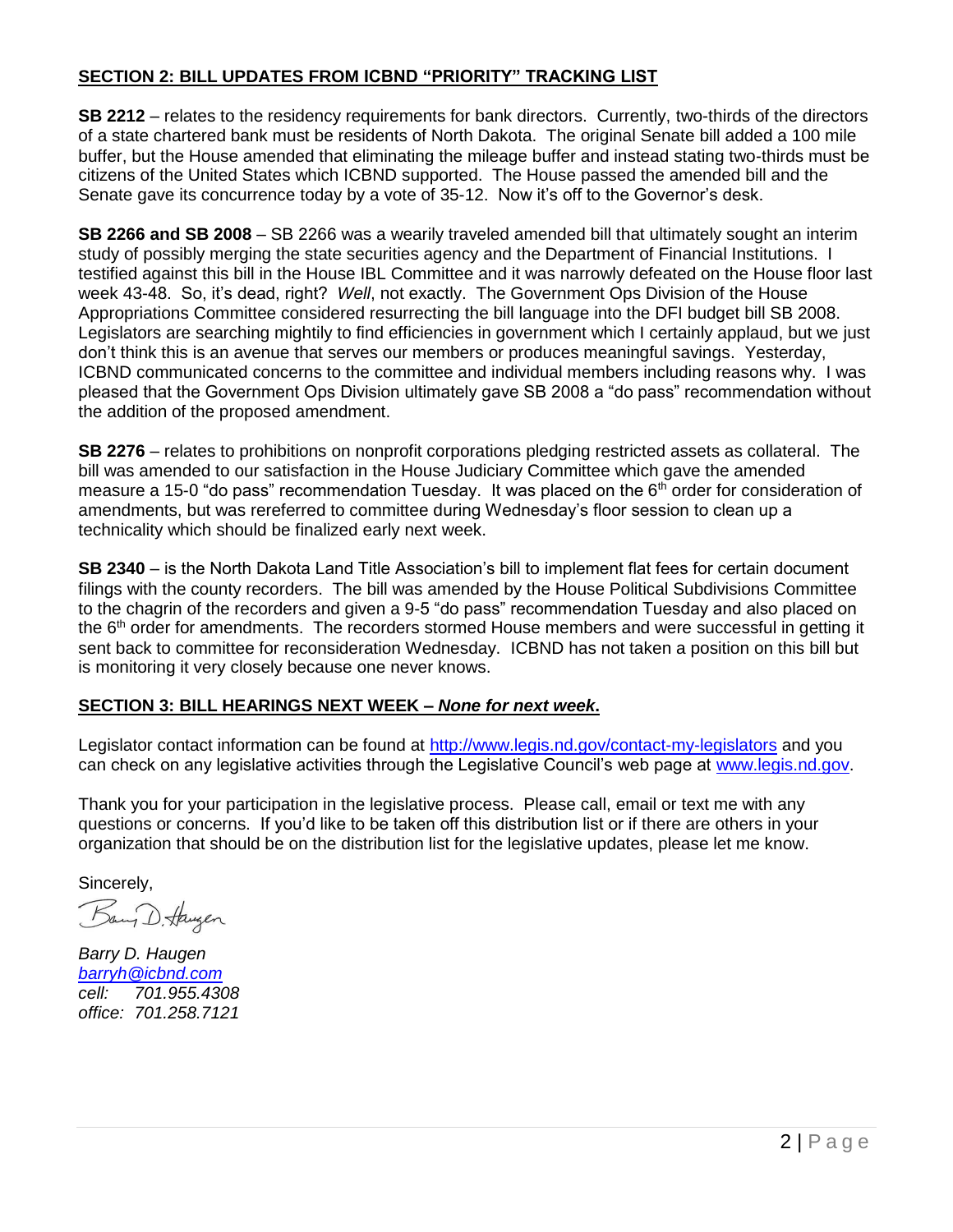### **SECTION 2: BILL UPDATES FROM ICBND "PRIORITY" TRACKING LIST**

**SB 2212** – relates to the residency requirements for bank directors. Currently, two-thirds of the directors of a state chartered bank must be residents of North Dakota. The original Senate bill added a 100 mile buffer, but the House amended that eliminating the mileage buffer and instead stating two-thirds must be citizens of the United States which ICBND supported. The House passed the amended bill and the Senate gave its concurrence today by a vote of 35-12. Now it's off to the Governor's desk.

**SB 2266 and SB 2008** – SB 2266 was a wearily traveled amended bill that ultimately sought an interim study of possibly merging the state securities agency and the Department of Financial Institutions. I testified against this bill in the House IBL Committee and it was narrowly defeated on the House floor last week 43-48. So, it's dead, right? *Well*, not exactly. The Government Ops Division of the House Appropriations Committee considered resurrecting the bill language into the DFI budget bill SB 2008. Legislators are searching mightily to find efficiencies in government which I certainly applaud, but we just don't think this is an avenue that serves our members or produces meaningful savings. Yesterday, ICBND communicated concerns to the committee and individual members including reasons why. I was pleased that the Government Ops Division ultimately gave SB 2008 a "do pass" recommendation without the addition of the proposed amendment.

**SB 2276** – relates to prohibitions on nonprofit corporations pledging restricted assets as collateral. The bill was amended to our satisfaction in the House Judiciary Committee which gave the amended measure a 15-0 "do pass" recommendation Tuesday. It was placed on the 6<sup>th</sup> order for consideration of amendments, but was rereferred to committee during Wednesday's floor session to clean up a technicality which should be finalized early next week.

**SB 2340** – is the North Dakota Land Title Association's bill to implement flat fees for certain document filings with the county recorders. The bill was amended by the House Political Subdivisions Committee to the chagrin of the recorders and given a 9-5 "do pass" recommendation Tuesday and also placed on the 6<sup>th</sup> order for amendments. The recorders stormed House members and were successful in getting it sent back to committee for reconsideration Wednesday. ICBND has not taken a position on this bill but is monitoring it very closely because one never knows.

#### **SECTION 3: BILL HEARINGS NEXT WEEK –** *None for next week***.**

Legislator contact information can be found at<http://www.legis.nd.gov/contact-my-legislators> and you can check on any legislative activities through the Legislative Council's web page at [www.legis.nd.gov.](http://www.legis.nd.gov/)

Thank you for your participation in the legislative process. Please call, email or text me with any questions or concerns. If you'd like to be taken off this distribution list or if there are others in your organization that should be on the distribution list for the legislative updates, please let me know.

Sincerely,

Bang D. Haugen

*Barry D. Haugen [barryh@icbnd.com](mailto:barryh@icbnd.com) cell: 701.955.4308 office: 701.258.7121*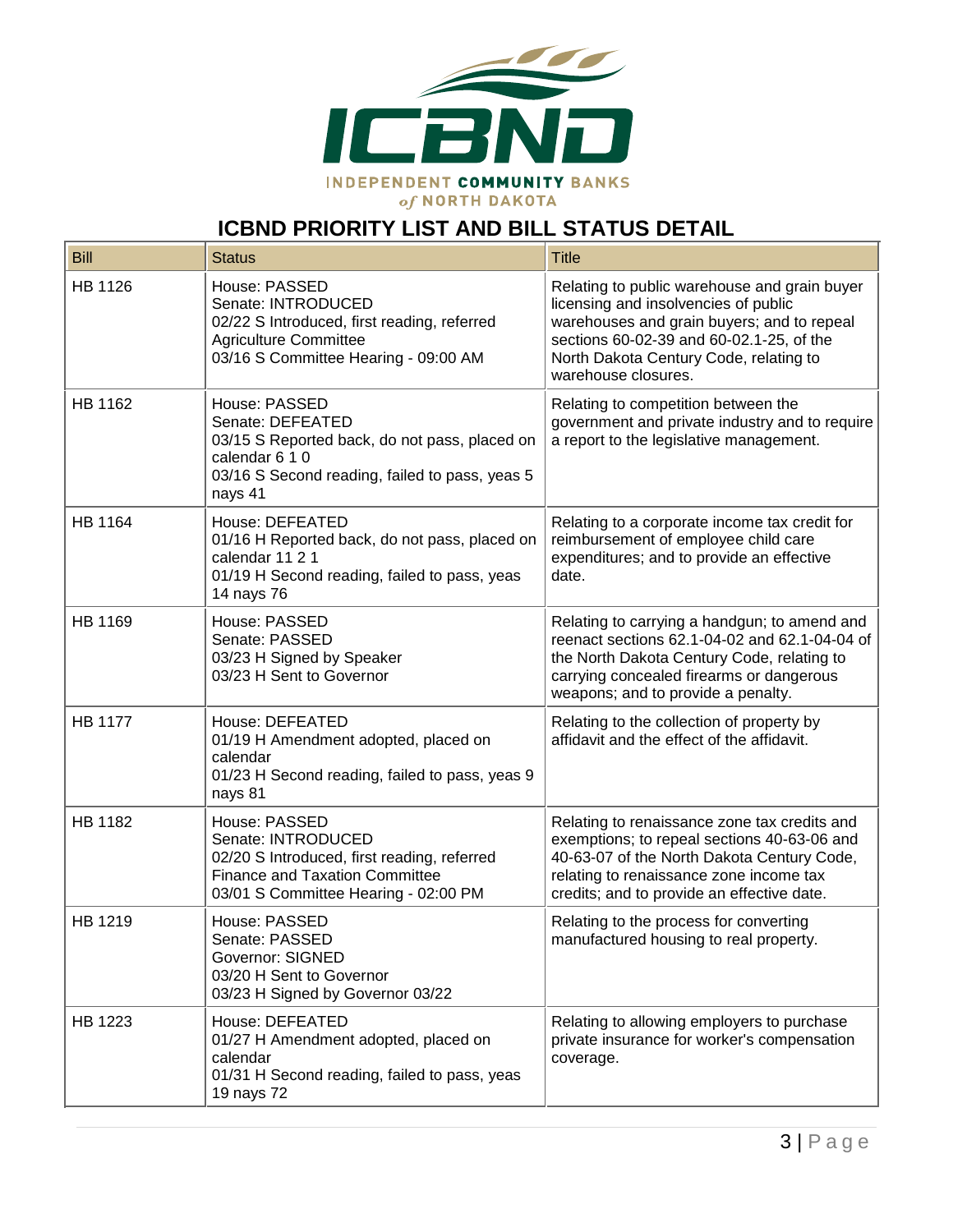

# **ICBND PRIORITY LIST AND BILL STATUS DETAIL**

| <b>Bill</b>    | <b>Status</b>                                                                                                                                                       | <b>Title</b>                                                                                                                                                                                                                                    |
|----------------|---------------------------------------------------------------------------------------------------------------------------------------------------------------------|-------------------------------------------------------------------------------------------------------------------------------------------------------------------------------------------------------------------------------------------------|
| HB 1126        | House: PASSED<br>Senate: INTRODUCED<br>02/22 S Introduced, first reading, referred<br><b>Agriculture Committee</b><br>03/16 S Committee Hearing - 09:00 AM          | Relating to public warehouse and grain buyer<br>licensing and insolvencies of public<br>warehouses and grain buyers; and to repeal<br>sections 60-02-39 and 60-02.1-25, of the<br>North Dakota Century Code, relating to<br>warehouse closures. |
| HB 1162        | House: PASSED<br>Senate: DEFEATED<br>03/15 S Reported back, do not pass, placed on<br>calendar 6 1 0<br>03/16 S Second reading, failed to pass, yeas 5<br>nays 41   | Relating to competition between the<br>government and private industry and to require<br>a report to the legislative management.                                                                                                                |
| HB 1164        | House: DEFEATED<br>01/16 H Reported back, do not pass, placed on<br>calendar 11 2 1<br>01/19 H Second reading, failed to pass, yeas<br>14 nays 76                   | Relating to a corporate income tax credit for<br>reimbursement of employee child care<br>expenditures; and to provide an effective<br>date.                                                                                                     |
| HB 1169        | House: PASSED<br>Senate: PASSED<br>03/23 H Signed by Speaker<br>03/23 H Sent to Governor                                                                            | Relating to carrying a handgun; to amend and<br>reenact sections 62.1-04-02 and 62.1-04-04 of<br>the North Dakota Century Code, relating to<br>carrying concealed firearms or dangerous<br>weapons; and to provide a penalty.                   |
| <b>HB 1177</b> | House: DEFEATED<br>01/19 H Amendment adopted, placed on<br>calendar<br>01/23 H Second reading, failed to pass, yeas 9<br>nays 81                                    | Relating to the collection of property by<br>affidavit and the effect of the affidavit.                                                                                                                                                         |
| HB 1182        | House: PASSED<br>Senate: INTRODUCED<br>02/20 S Introduced, first reading, referred<br><b>Finance and Taxation Committee</b><br>03/01 S Committee Hearing - 02:00 PM | Relating to renaissance zone tax credits and<br>exemptions; to repeal sections 40-63-06 and<br>40-63-07 of the North Dakota Century Code,<br>relating to renaissance zone income tax<br>credits; and to provide an effective date.              |
| HB 1219        | House: PASSED<br>Senate: PASSED<br><b>Governor: SIGNED</b><br>03/20 H Sent to Governor<br>03/23 H Signed by Governor 03/22                                          | Relating to the process for converting<br>manufactured housing to real property.                                                                                                                                                                |
| HB 1223        | House: DEFEATED<br>01/27 H Amendment adopted, placed on<br>calendar<br>01/31 H Second reading, failed to pass, yeas<br>19 nays 72                                   | Relating to allowing employers to purchase<br>private insurance for worker's compensation<br>coverage.                                                                                                                                          |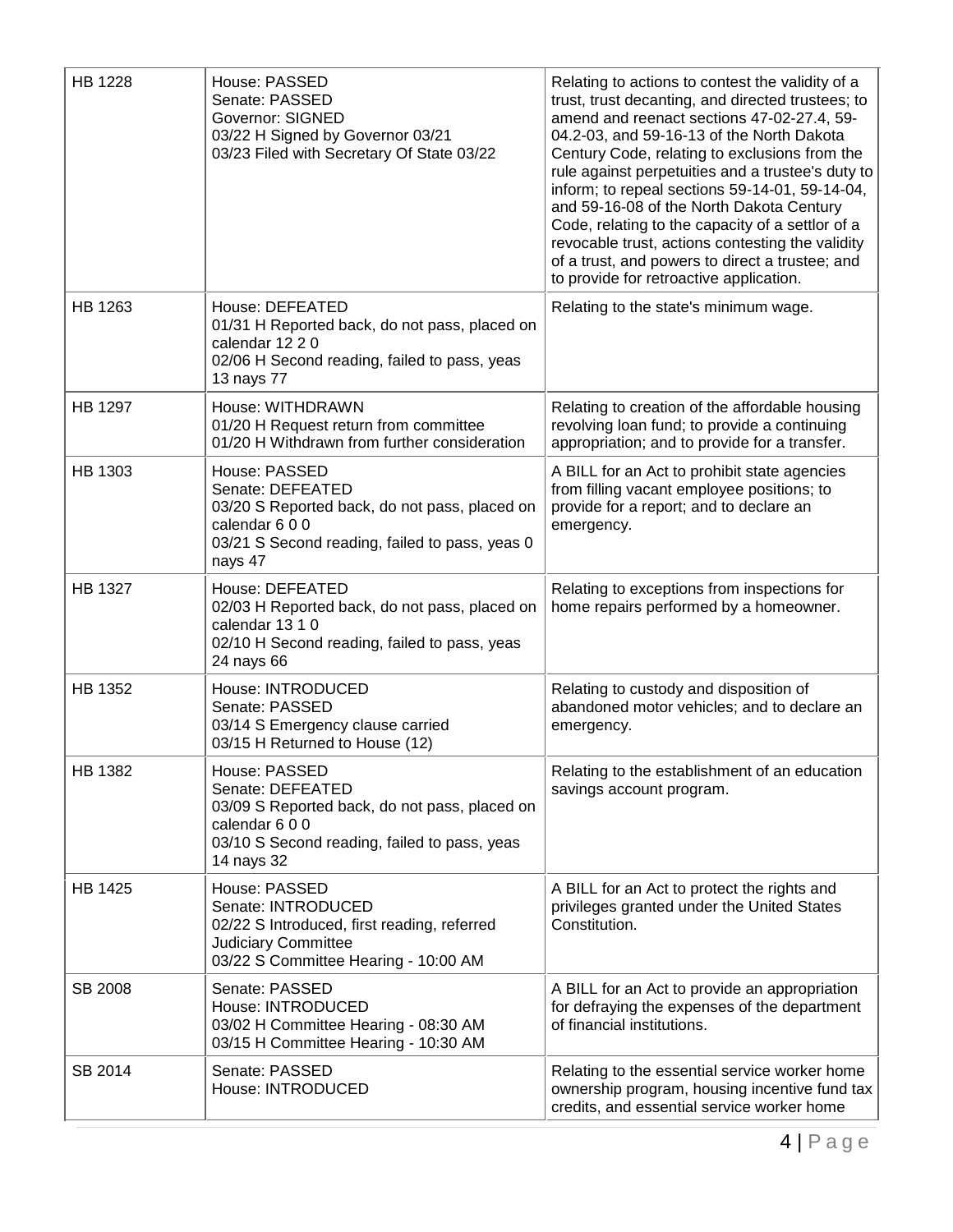| <b>HB 1228</b> | House: PASSED<br>Senate: PASSED<br><b>Governor: SIGNED</b><br>03/22 H Signed by Governor 03/21<br>03/23 Filed with Secretary Of State 03/22                      | Relating to actions to contest the validity of a<br>trust, trust decanting, and directed trustees; to<br>amend and reenact sections 47-02-27.4, 59-<br>04.2-03, and 59-16-13 of the North Dakota<br>Century Code, relating to exclusions from the<br>rule against perpetuities and a trustee's duty to<br>inform; to repeal sections 59-14-01, 59-14-04,<br>and 59-16-08 of the North Dakota Century<br>Code, relating to the capacity of a settlor of a<br>revocable trust, actions contesting the validity<br>of a trust, and powers to direct a trustee; and<br>to provide for retroactive application. |
|----------------|------------------------------------------------------------------------------------------------------------------------------------------------------------------|------------------------------------------------------------------------------------------------------------------------------------------------------------------------------------------------------------------------------------------------------------------------------------------------------------------------------------------------------------------------------------------------------------------------------------------------------------------------------------------------------------------------------------------------------------------------------------------------------------|
| HB 1263        | House: DEFEATED<br>01/31 H Reported back, do not pass, placed on<br>calendar 12 2 0<br>02/06 H Second reading, failed to pass, yeas<br>13 nays 77                | Relating to the state's minimum wage.                                                                                                                                                                                                                                                                                                                                                                                                                                                                                                                                                                      |
| <b>HB 1297</b> | House: WITHDRAWN<br>01/20 H Request return from committee<br>01/20 H Withdrawn from further consideration                                                        | Relating to creation of the affordable housing<br>revolving loan fund; to provide a continuing<br>appropriation; and to provide for a transfer.                                                                                                                                                                                                                                                                                                                                                                                                                                                            |
| HB 1303        | House: PASSED<br>Senate: DEFEATED<br>03/20 S Reported back, do not pass, placed on<br>calendar 600<br>03/21 S Second reading, failed to pass, yeas 0<br>nays 47  | A BILL for an Act to prohibit state agencies<br>from filling vacant employee positions; to<br>provide for a report; and to declare an<br>emergency.                                                                                                                                                                                                                                                                                                                                                                                                                                                        |
| <b>HB 1327</b> | House: DEFEATED<br>02/03 H Reported back, do not pass, placed on<br>calendar 13 1 0<br>02/10 H Second reading, failed to pass, yeas<br>24 nays 66                | Relating to exceptions from inspections for<br>home repairs performed by a homeowner.                                                                                                                                                                                                                                                                                                                                                                                                                                                                                                                      |
| HB 1352        | House: INTRODUCED<br>Senate: PASSED<br>03/14 S Emergency clause carried<br>03/15 H Returned to House (12)                                                        | Relating to custody and disposition of<br>abandoned motor vehicles; and to declare an<br>emergency.                                                                                                                                                                                                                                                                                                                                                                                                                                                                                                        |
| HB 1382        | House: PASSED<br>Senate: DEFEATED<br>03/09 S Reported back, do not pass, placed on<br>calendar 600<br>03/10 S Second reading, failed to pass, yeas<br>14 nays 32 | Relating to the establishment of an education<br>savings account program.                                                                                                                                                                                                                                                                                                                                                                                                                                                                                                                                  |
| HB 1425        | House: PASSED<br>Senate: INTRODUCED<br>02/22 S Introduced, first reading, referred<br><b>Judiciary Committee</b><br>03/22 S Committee Hearing - 10:00 AM         | A BILL for an Act to protect the rights and<br>privileges granted under the United States<br>Constitution.                                                                                                                                                                                                                                                                                                                                                                                                                                                                                                 |
| SB 2008        | Senate: PASSED<br>House: INTRODUCED<br>03/02 H Committee Hearing - 08:30 AM<br>03/15 H Committee Hearing - 10:30 AM                                              | A BILL for an Act to provide an appropriation<br>for defraying the expenses of the department<br>of financial institutions.                                                                                                                                                                                                                                                                                                                                                                                                                                                                                |
| SB 2014        | Senate: PASSED<br>House: INTRODUCED                                                                                                                              | Relating to the essential service worker home<br>ownership program, housing incentive fund tax<br>credits, and essential service worker home                                                                                                                                                                                                                                                                                                                                                                                                                                                               |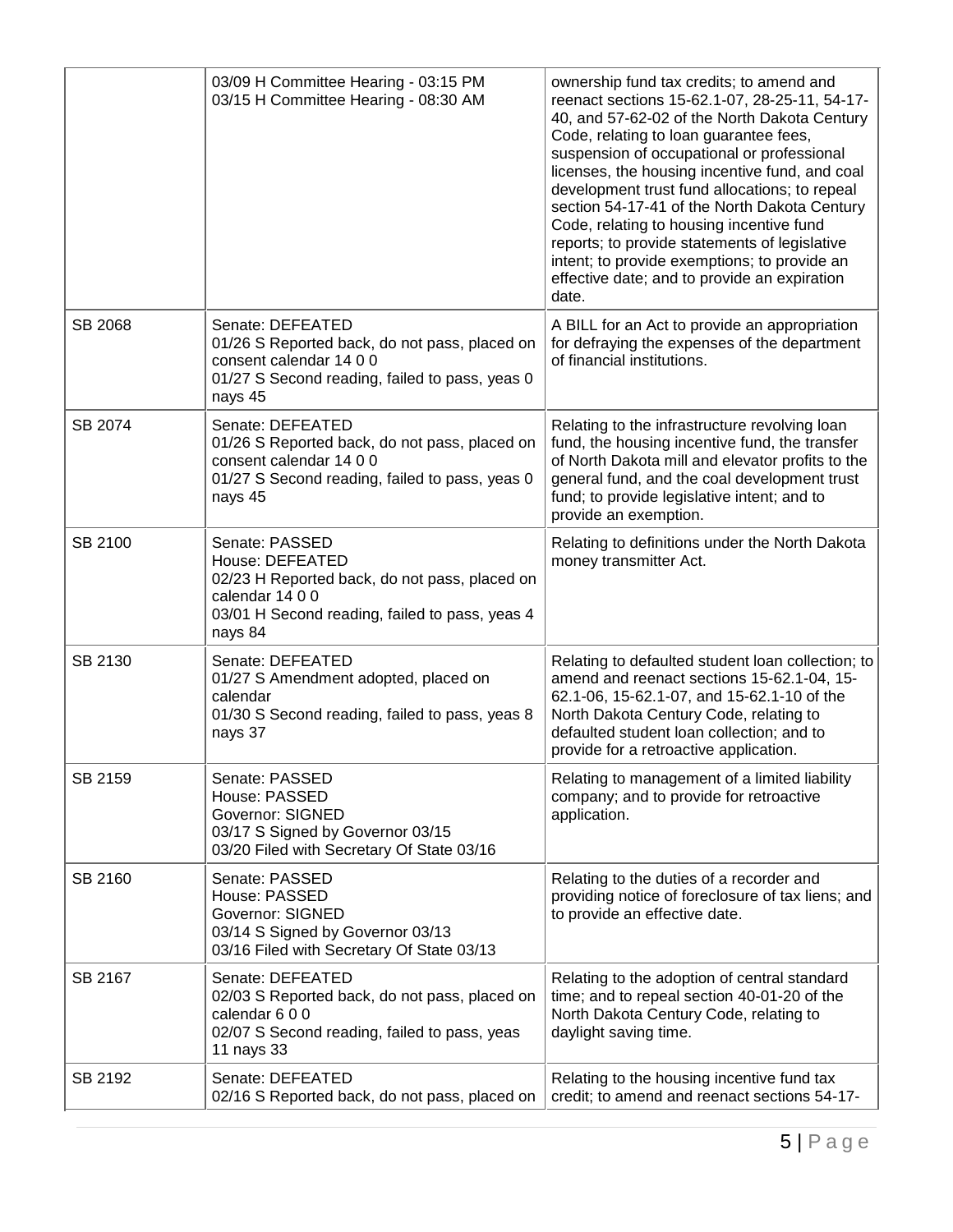|         | 03/09 H Committee Hearing - 03:15 PM<br>03/15 H Committee Hearing - 08:30 AM                                                                                       | ownership fund tax credits; to amend and<br>reenact sections 15-62.1-07, 28-25-11, 54-17-<br>40, and 57-62-02 of the North Dakota Century<br>Code, relating to loan guarantee fees,<br>suspension of occupational or professional<br>licenses, the housing incentive fund, and coal<br>development trust fund allocations; to repeal<br>section 54-17-41 of the North Dakota Century<br>Code, relating to housing incentive fund<br>reports; to provide statements of legislative<br>intent; to provide exemptions; to provide an<br>effective date; and to provide an expiration<br>date. |
|---------|--------------------------------------------------------------------------------------------------------------------------------------------------------------------|--------------------------------------------------------------------------------------------------------------------------------------------------------------------------------------------------------------------------------------------------------------------------------------------------------------------------------------------------------------------------------------------------------------------------------------------------------------------------------------------------------------------------------------------------------------------------------------------|
| SB 2068 | Senate: DEFEATED<br>01/26 S Reported back, do not pass, placed on<br>consent calendar 14 0 0<br>01/27 S Second reading, failed to pass, yeas 0<br>nays 45          | A BILL for an Act to provide an appropriation<br>for defraying the expenses of the department<br>of financial institutions.                                                                                                                                                                                                                                                                                                                                                                                                                                                                |
| SB 2074 | Senate: DEFEATED<br>01/26 S Reported back, do not pass, placed on<br>consent calendar 14 0 0<br>01/27 S Second reading, failed to pass, yeas 0<br>nays 45          | Relating to the infrastructure revolving loan<br>fund, the housing incentive fund, the transfer<br>of North Dakota mill and elevator profits to the<br>general fund, and the coal development trust<br>fund; to provide legislative intent; and to<br>provide an exemption.                                                                                                                                                                                                                                                                                                                |
| SB 2100 | Senate: PASSED<br>House: DEFEATED<br>02/23 H Reported back, do not pass, placed on<br>calendar 14 0 0<br>03/01 H Second reading, failed to pass, yeas 4<br>nays 84 | Relating to definitions under the North Dakota<br>money transmitter Act.                                                                                                                                                                                                                                                                                                                                                                                                                                                                                                                   |
| SB 2130 | Senate: DEFEATED<br>01/27 S Amendment adopted, placed on<br>calendar<br>01/30 S Second reading, failed to pass, yeas 8<br>nays 37                                  | Relating to defaulted student loan collection; to<br>amend and reenact sections 15-62.1-04, 15-<br>62.1-06, 15-62.1-07, and 15-62.1-10 of the<br>North Dakota Century Code, relating to<br>defaulted student loan collection; and to<br>provide for a retroactive application.                                                                                                                                                                                                                                                                                                             |
| SB 2159 | Senate: PASSED<br>House: PASSED<br><b>Governor: SIGNED</b><br>03/17 S Signed by Governor 03/15<br>03/20 Filed with Secretary Of State 03/16                        | Relating to management of a limited liability<br>company; and to provide for retroactive<br>application.                                                                                                                                                                                                                                                                                                                                                                                                                                                                                   |
| SB 2160 | Senate: PASSED<br>House: PASSED<br><b>Governor: SIGNED</b><br>03/14 S Signed by Governor 03/13<br>03/16 Filed with Secretary Of State 03/13                        | Relating to the duties of a recorder and<br>providing notice of foreclosure of tax liens; and<br>to provide an effective date.                                                                                                                                                                                                                                                                                                                                                                                                                                                             |
| SB 2167 | Senate: DEFEATED<br>02/03 S Reported back, do not pass, placed on<br>calendar 600<br>02/07 S Second reading, failed to pass, yeas<br>11 nays 33                    | Relating to the adoption of central standard<br>time; and to repeal section 40-01-20 of the<br>North Dakota Century Code, relating to<br>daylight saving time.                                                                                                                                                                                                                                                                                                                                                                                                                             |
| SB 2192 | Senate: DEFEATED<br>02/16 S Reported back, do not pass, placed on                                                                                                  | Relating to the housing incentive fund tax<br>credit; to amend and reenact sections 54-17-                                                                                                                                                                                                                                                                                                                                                                                                                                                                                                 |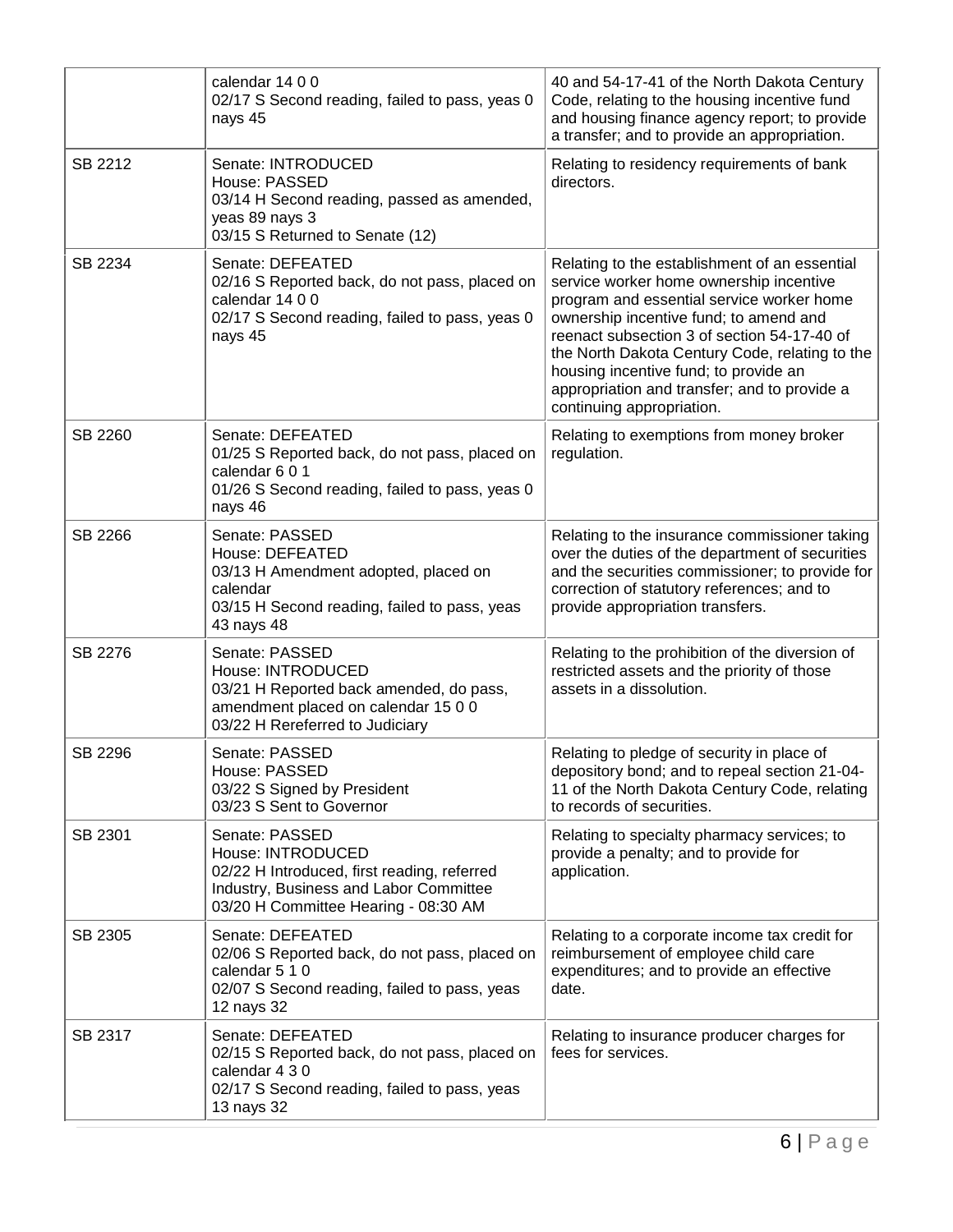|         | calendar 14 0 0<br>02/17 S Second reading, failed to pass, yeas 0<br>nays 45                                                                                         | 40 and 54-17-41 of the North Dakota Century<br>Code, relating to the housing incentive fund<br>and housing finance agency report; to provide<br>a transfer; and to provide an appropriation.                                                                                                                                                                                                           |
|---------|----------------------------------------------------------------------------------------------------------------------------------------------------------------------|--------------------------------------------------------------------------------------------------------------------------------------------------------------------------------------------------------------------------------------------------------------------------------------------------------------------------------------------------------------------------------------------------------|
| SB 2212 | Senate: INTRODUCED<br>House: PASSED<br>03/14 H Second reading, passed as amended,<br>yeas 89 nays 3<br>03/15 S Returned to Senate (12)                               | Relating to residency requirements of bank<br>directors.                                                                                                                                                                                                                                                                                                                                               |
| SB 2234 | Senate: DEFEATED<br>02/16 S Reported back, do not pass, placed on<br>calendar 14 0 0<br>02/17 S Second reading, failed to pass, yeas 0<br>nays 45                    | Relating to the establishment of an essential<br>service worker home ownership incentive<br>program and essential service worker home<br>ownership incentive fund; to amend and<br>reenact subsection 3 of section 54-17-40 of<br>the North Dakota Century Code, relating to the<br>housing incentive fund; to provide an<br>appropriation and transfer; and to provide a<br>continuing appropriation. |
| SB 2260 | Senate: DEFEATED<br>01/25 S Reported back, do not pass, placed on<br>calendar 6 0 1<br>01/26 S Second reading, failed to pass, yeas 0<br>nays 46                     | Relating to exemptions from money broker<br>regulation.                                                                                                                                                                                                                                                                                                                                                |
| SB 2266 | Senate: PASSED<br>House: DEFEATED<br>03/13 H Amendment adopted, placed on<br>calendar<br>03/15 H Second reading, failed to pass, yeas<br>43 nays 48                  | Relating to the insurance commissioner taking<br>over the duties of the department of securities<br>and the securities commissioner; to provide for<br>correction of statutory references; and to<br>provide appropriation transfers.                                                                                                                                                                  |
| SB 2276 | Senate: PASSED<br>House: INTRODUCED<br>03/21 H Reported back amended, do pass,<br>amendment placed on calendar 15 0 0<br>03/22 H Rereferred to Judiciary             | Relating to the prohibition of the diversion of<br>restricted assets and the priority of those<br>assets in a dissolution.                                                                                                                                                                                                                                                                             |
| SB 2296 | Senate: PASSED<br>House: PASSED<br>03/22 S Signed by President<br>03/23 S Sent to Governor                                                                           | Relating to pledge of security in place of<br>depository bond; and to repeal section 21-04-<br>11 of the North Dakota Century Code, relating<br>to records of securities.                                                                                                                                                                                                                              |
| SB 2301 | Senate: PASSED<br>House: INTRODUCED<br>02/22 H Introduced, first reading, referred<br>Industry, Business and Labor Committee<br>03/20 H Committee Hearing - 08:30 AM | Relating to specialty pharmacy services; to<br>provide a penalty; and to provide for<br>application.                                                                                                                                                                                                                                                                                                   |
| SB 2305 | Senate: DEFEATED<br>02/06 S Reported back, do not pass, placed on<br>calendar 5 1 0<br>02/07 S Second reading, failed to pass, yeas<br>12 nays 32                    | Relating to a corporate income tax credit for<br>reimbursement of employee child care<br>expenditures; and to provide an effective<br>date.                                                                                                                                                                                                                                                            |
| SB 2317 | Senate: DEFEATED<br>02/15 S Reported back, do not pass, placed on<br>calendar 4 3 0<br>02/17 S Second reading, failed to pass, yeas<br>13 nays 32                    | Relating to insurance producer charges for<br>fees for services.                                                                                                                                                                                                                                                                                                                                       |